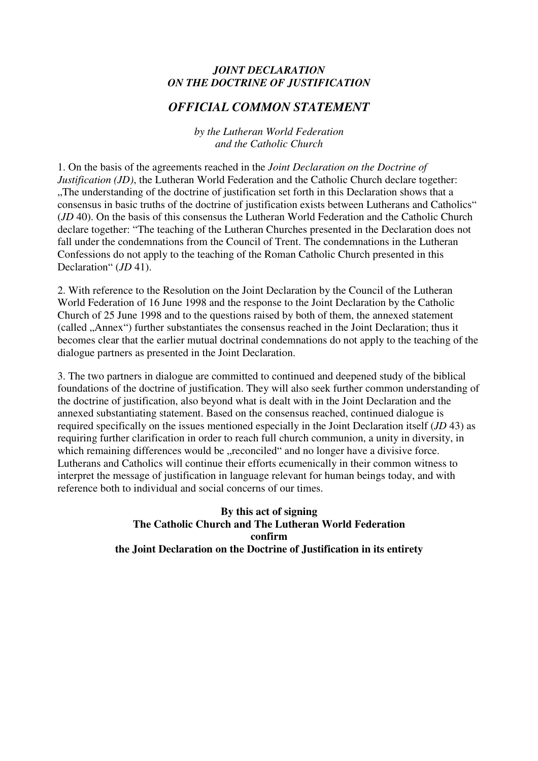#### *JOINT DECLARATION ON THE DOCTRINE OF JUSTIFICATION*

# *OFFICIAL COMMON STATEMENT*

*by the Lutheran World Federation and the Catholic Church*

1. On the basis of the agreements reached in the *Joint Declaration on the Doctrine of Justification (JD)*, the Lutheran World Federation and the Catholic Church declare together: "The understanding of the doctrine of justification set forth in this Declaration shows that a consensus in basic truths of the doctrine of justification exists between Lutherans and Catholics" (*JD* 40). On the basis of this consensus the Lutheran World Federation and the Catholic Church declare together: "The teaching of the Lutheran Churches presented in the Declaration does not fall under the condemnations from the Council of Trent. The condemnations in the Lutheran Confessions do not apply to the teaching of the Roman Catholic Church presented in this Declaration" (*JD* 41).

2. With reference to the Resolution on the Joint Declaration by the Council of the Lutheran World Federation of 16 June 1998 and the response to the Joint Declaration by the Catholic Church of 25 June 1998 and to the questions raised by both of them, the annexed statement (called .,Annex") further substantiates the consensus reached in the Joint Declaration; thus it becomes clear that the earlier mutual doctrinal condemnations do not apply to the teaching of the dialogue partners as presented in the Joint Declaration.

3. The two partners in dialogue are committed to continued and deepened study of the biblical foundations of the doctrine of justification. They will also seek further common understanding of the doctrine of justification, also beyond what is dealt with in the Joint Declaration and the annexed substantiating statement. Based on the consensus reached, continued dialogue is required specifically on the issues mentioned especially in the Joint Declaration itself (*JD* 43) as requiring further clarification in order to reach full church communion, a unity in diversity, in which remaining differences would be "reconciled" and no longer have a divisive force. Lutherans and Catholics will continue their efforts ecumenically in their common witness to interpret the message of justification in language relevant for human beings today, and with reference both to individual and social concerns of our times.

> **By this act of signing The Catholic Church and The Lutheran World Federation confirm the Joint Declaration on the Doctrine of Justification in its entirety**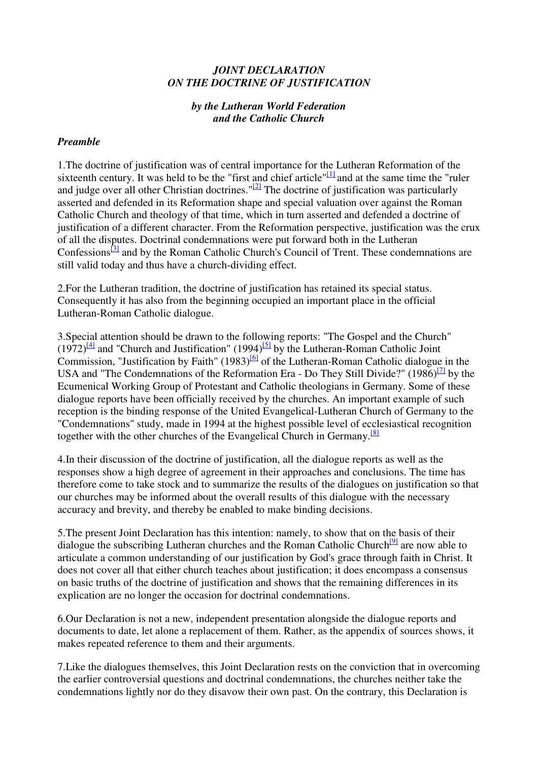#### *JOINT DECLARATION ON THE DOCTRINE OF JUSTIFICATION*

#### *by the Lutheran World Federation and the Catholic Church*

#### *Preamble*

1.The doctrine of justification was of central importance for the Lutheran Reformation of the sixteenth century. It was held to be the "first and chief article" $\frac{1}{11}$  and at the same time the "ruler" and judge over all other Christian doctrines." $[2]$  The doctrine of justification was particularly asserted and defended in its Reformation shape and special valuation over against the Roman Catholic Church and theology of that time, which in turn asserted and defended a doctrine of justification of a different character. From the Reformation perspective, justification was the crux of all the disputes. Doctrinal condemnations were put forward both in the Lutheran Confessions<sup>[3]</sup> and by the Roman Catholic Church's Council of Trent. These condemnations are still valid today and thus have a church-dividing effect.

2.For the Lutheran tradition, the doctrine of justification has retained its special status. Consequently it has also from the beginning occupied an important place in the official Lutheran-Roman Catholic dialogue.

3.Special attention should be drawn to the following reports: "The Gospel and the Church"  $(1972)^{[4]}$  and "Church and Justification"  $(1994)^{[5]}$  by the Lutheran-Roman Catholic Joint Commission, "Justification by Faith" (1983)<sup>[6]</sup> of the Lutheran-Roman Catholic dialogue in the USA and "The Condemnations of the Reformation Era - Do They Still Divide?" (1986)<sup>[7]</sup> by the Ecumenical Working Group of Protestant and Catholic theologians in Germany. Some of these dialogue reports have been officially received by the churches. An important example of such reception is the binding response of the United Evangelical-Lutheran Church of Germany to the "Condemnations" study, made in 1994 at the highest possible level of ecclesiastical recognition together with the other churches of the Evangelical Church in Germany.<sup>[8]</sup>

4.In their discussion of the doctrine of justification, all the dialogue reports as well as the responses show a high degree of agreement in their approaches and conclusions. The time has therefore come to take stock and to summarize the results of the dialogues on justification so that our churches may be informed about the overall results of this dialogue with the necessary accuracy and brevity, and thereby be enabled to make binding decisions.

5.The present Joint Declaration has this intention: namely, to show that on the basis of their dialogue the subscribing Lutheran churches and the Roman Catholic Church<sup>[9]</sup> are now able to articulate a common understanding of our justification by God's grace through faith in Christ. It does not cover all that either church teaches about justification; it does encompass a consensus on basic truths of the doctrine of justification and shows that the remaining differences in its explication are no longer the occasion for doctrinal condemnations.

6.Our Declaration is not a new, independent presentation alongside the dialogue reports and documents to date, let alone a replacement of them. Rather, as the appendix of sources shows, it makes repeated reference to them and their arguments.

7.Like the dialogues themselves, this Joint Declaration rests on the conviction that in overcoming the earlier controversial questions and doctrinal condemnations, the churches neither take the condemnations lightly nor do they disavow their own past. On the contrary, this Declaration is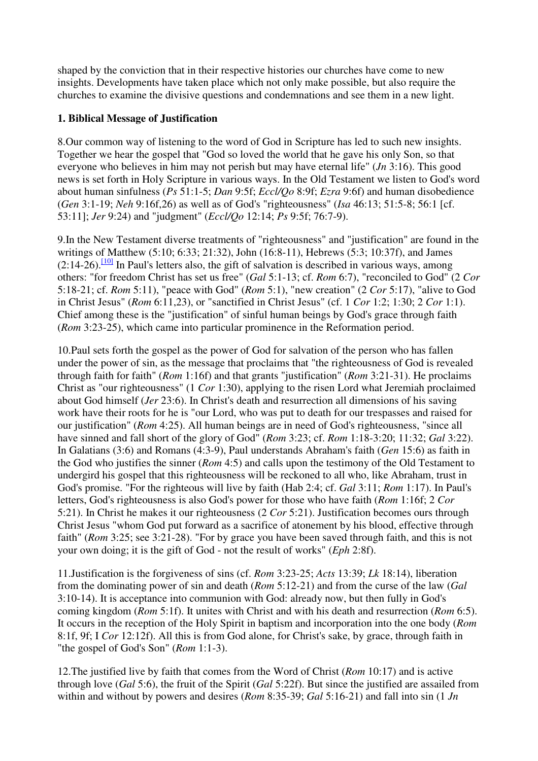shaped by the conviction that in their respective histories our churches have come to new insights. Developments have taken place which not only make possible, but also require the churches to examine the divisive questions and condemnations and see them in a new light.

### **1. Biblical Message of Justification**

8.Our common way of listening to the word of God in Scripture has led to such new insights. Together we hear the gospel that "God so loved the world that he gave his only Son, so that everyone who believes in him may not perish but may have eternal life" (*Jn* 3:16). This good news is set forth in Holy Scripture in various ways. In the Old Testament we listen to God's word about human sinfulness (*Ps* 51:1-5; *Dan* 9:5f; *Eccl/Qo* 8:9f; *Ezra* 9:6f) and human disobedience (*Gen* 3:1-19; *Neh* 9:16f,26) as well as of God's "righteousness" (*Isa* 46:13; 51:5-8; 56:1 [cf. 53:11]; *Jer* 9:24) and "judgment" (*Eccl/Qo* 12:14; *Ps* 9:5f; 76:7-9).

9.In the New Testament diverse treatments of "righteousness" and "justification" are found in the writings of Matthew (5:10; 6:33; 21:32), John (16:8-11), Hebrews (5:3; 10:37f), and James  $(2:14-26)$ . [10] In Paul's letters also, the gift of salvation is described in various ways, among others: "for freedom Christ has set us free" (*Gal* 5:1-13; cf. *Rom* 6:7), "reconciled to God" (2 *Cor* 5:18-21; cf. *Rom* 5:11), "peace with God" (*Rom* 5:1), "new creation" (2 *Cor* 5:17), "alive to God in Christ Jesus" (*Rom* 6:11,23), or "sanctified in Christ Jesus" (cf. 1 *Cor* 1:2; 1:30; 2 *Cor* 1:1). Chief among these is the "justification" of sinful human beings by God's grace through faith (*Rom* 3:23-25), which came into particular prominence in the Reformation period.

10.Paul sets forth the gospel as the power of God for salvation of the person who has fallen under the power of sin, as the message that proclaims that "the righteousness of God is revealed through faith for faith" (*Rom* 1:16f) and that grants "justification" (*Rom* 3:21-31). He proclaims Christ as "our righteousness" (1 *Cor* 1:30), applying to the risen Lord what Jeremiah proclaimed about God himself (*Jer* 23:6). In Christ's death and resurrection all dimensions of his saving work have their roots for he is "our Lord, who was put to death for our trespasses and raised for our justification" (*Rom* 4:25). All human beings are in need of God's righteousness, "since all have sinned and fall short of the glory of God" (*Rom* 3:23; cf. *Rom* 1:18-3:20; 11:32; *Gal* 3:22). In Galatians (3:6) and Romans (4:3-9), Paul understands Abraham's faith (*Gen* 15:6) as faith in the God who justifies the sinner (*Rom* 4:5) and calls upon the testimony of the Old Testament to undergird his gospel that this righteousness will be reckoned to all who, like Abraham, trust in God's promise. "For the righteous will live by faith (Hab 2:4; cf. *Gal* 3:11; *Rom* 1:17). In Paul's letters, God's righteousness is also God's power for those who have faith (*Rom* 1:16f; 2 *Cor* 5:21). In Christ he makes it our righteousness (2 *Cor* 5:21). Justification becomes ours through Christ Jesus "whom God put forward as a sacrifice of atonement by his blood, effective through faith" (*Rom* 3:25; see 3:21-28). "For by grace you have been saved through faith, and this is not your own doing; it is the gift of God - not the result of works" (*Eph* 2:8f).

11.Justification is the forgiveness of sins (cf. *Rom* 3:23-25; *Acts* 13:39; *Lk* 18:14), liberation from the dominating power of sin and death (*Rom* 5:12-21) and from the curse of the law (*Gal* 3:10-14). It is acceptance into communion with God: already now, but then fully in God's coming kingdom (*Rom* 5:1f). It unites with Christ and with his death and resurrection (*Rom* 6:5). It occurs in the reception of the Holy Spirit in baptism and incorporation into the one body (*Rom* 8:1f, 9f; I *Cor* 12:12f). All this is from God alone, for Christ's sake, by grace, through faith in "the gospel of God's Son" (*Rom* 1:1-3).

12.The justified live by faith that comes from the Word of Christ (*Rom* 10:17) and is active through love (*Gal* 5:6), the fruit of the Spirit (*Gal* 5:22f). But since the justified are assailed from within and without by powers and desires (*Rom* 8:35-39; *Gal* 5:16-21) and fall into sin (1 *Jn*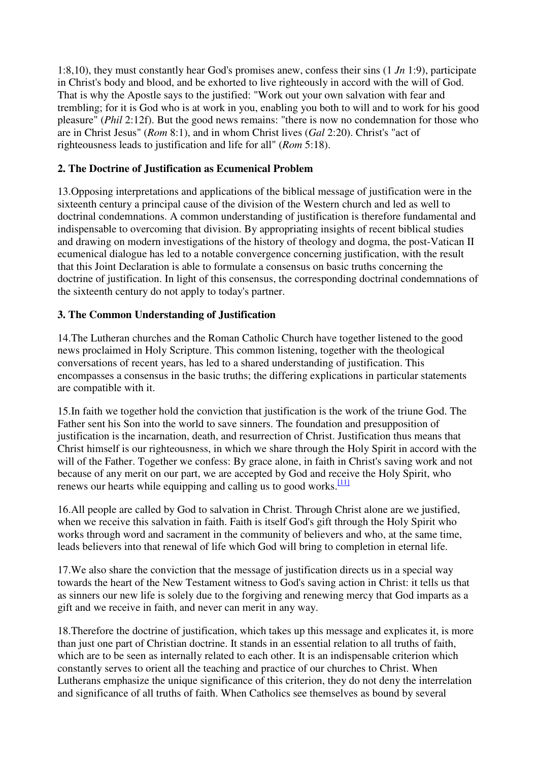1:8,10), they must constantly hear God's promises anew, confess their sins (1 *Jn* 1:9), participate in Christ's body and blood, and be exhorted to live righteously in accord with the will of God. That is why the Apostle says to the justified: "Work out your own salvation with fear and trembling; for it is God who is at work in you, enabling you both to will and to work for his good pleasure" (*Phil* 2:12f). But the good news remains: "there is now no condemnation for those who are in Christ Jesus" (*Rom* 8:1), and in whom Christ lives (*Gal* 2:20). Christ's "act of righteousness leads to justification and life for all" (*Rom* 5:18).

### **2. The Doctrine of Justification as Ecumenical Problem**

13.Opposing interpretations and applications of the biblical message of justification were in the sixteenth century a principal cause of the division of the Western church and led as well to doctrinal condemnations. A common understanding of justification is therefore fundamental and indispensable to overcoming that division. By appropriating insights of recent biblical studies and drawing on modern investigations of the history of theology and dogma, the post-Vatican II ecumenical dialogue has led to a notable convergence concerning justification, with the result that this Joint Declaration is able to formulate a consensus on basic truths concerning the doctrine of justification. In light of this consensus, the corresponding doctrinal condemnations of the sixteenth century do not apply to today's partner.

# **3. The Common Understanding of Justification**

14.The Lutheran churches and the Roman Catholic Church have together listened to the good news proclaimed in Holy Scripture. This common listening, together with the theological conversations of recent years, has led to a shared understanding of justification. This encompasses a consensus in the basic truths; the differing explications in particular statements are compatible with it.

15.In faith we together hold the conviction that justification is the work of the triune God. The Father sent his Son into the world to save sinners. The foundation and presupposition of justification is the incarnation, death, and resurrection of Christ. Justification thus means that Christ himself is our righteousness, in which we share through the Holy Spirit in accord with the will of the Father. Together we confess: By grace alone, in faith in Christ's saving work and not because of any merit on our part, we are accepted by God and receive the Holy Spirit, who renews our hearts while equipping and calling us to good works. $\frac{111}{111}$ 

16.All people are called by God to salvation in Christ. Through Christ alone are we justified, when we receive this salvation in faith. Faith is itself God's gift through the Holy Spirit who works through word and sacrament in the community of believers and who, at the same time, leads believers into that renewal of life which God will bring to completion in eternal life.

17.We also share the conviction that the message of justification directs us in a special way towards the heart of the New Testament witness to God's saving action in Christ: it tells us that as sinners our new life is solely due to the forgiving and renewing mercy that God imparts as a gift and we receive in faith, and never can merit in any way.

18.Therefore the doctrine of justification, which takes up this message and explicates it, is more than just one part of Christian doctrine. It stands in an essential relation to all truths of faith, which are to be seen as internally related to each other. It is an indispensable criterion which constantly serves to orient all the teaching and practice of our churches to Christ. When Lutherans emphasize the unique significance of this criterion, they do not deny the interrelation and significance of all truths of faith. When Catholics see themselves as bound by several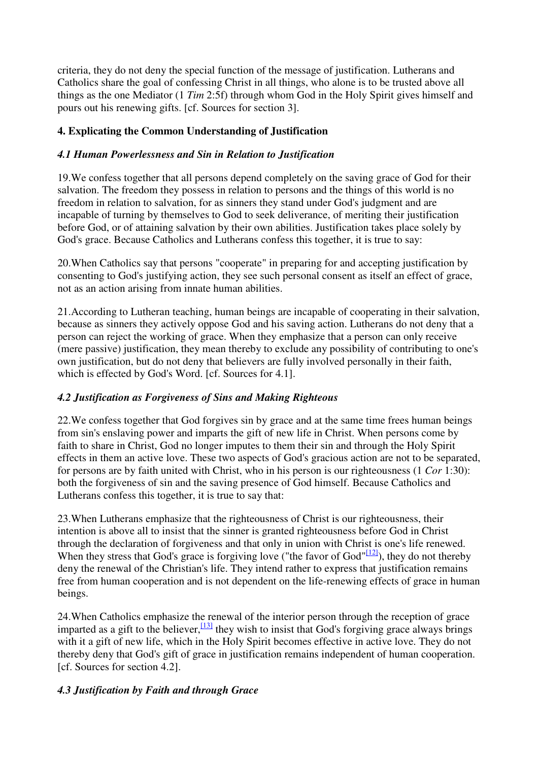criteria, they do not deny the special function of the message of justification. Lutherans and Catholics share the goal of confessing Christ in all things, who alone is to be trusted above all things as the one Mediator (1 *Tim* 2:5f) through whom God in the Holy Spirit gives himself and pours out his renewing gifts. [cf. Sources for section 3].

## **4. Explicating the Common Understanding of Justification**

## *4.1 Human Powerlessness and Sin in Relation to Justification*

19.We confess together that all persons depend completely on the saving grace of God for their salvation. The freedom they possess in relation to persons and the things of this world is no freedom in relation to salvation, for as sinners they stand under God's judgment and are incapable of turning by themselves to God to seek deliverance, of meriting their justification before God, or of attaining salvation by their own abilities. Justification takes place solely by God's grace. Because Catholics and Lutherans confess this together, it is true to say:

20.When Catholics say that persons "cooperate" in preparing for and accepting justification by consenting to God's justifying action, they see such personal consent as itself an effect of grace, not as an action arising from innate human abilities.

21.According to Lutheran teaching, human beings are incapable of cooperating in their salvation, because as sinners they actively oppose God and his saving action. Lutherans do not deny that a person can reject the working of grace. When they emphasize that a person can only receive (mere passive) justification, they mean thereby to exclude any possibility of contributing to one's own justification, but do not deny that believers are fully involved personally in their faith, which is effected by God's Word. [cf. Sources for 4.1].

# *4.2 Justification as Forgiveness of Sins and Making Righteous*

22.We confess together that God forgives sin by grace and at the same time frees human beings from sin's enslaving power and imparts the gift of new life in Christ. When persons come by faith to share in Christ, God no longer imputes to them their sin and through the Holy Spirit effects in them an active love. These two aspects of God's gracious action are not to be separated, for persons are by faith united with Christ, who in his person is our righteousness (1 *Cor* 1:30): both the forgiveness of sin and the saving presence of God himself. Because Catholics and Lutherans confess this together, it is true to say that:

23.When Lutherans emphasize that the righteousness of Christ is our righteousness, their intention is above all to insist that the sinner is granted righteousness before God in Christ through the declaration of forgiveness and that only in union with Christ is one's life renewed. When they stress that God's grace is forgiving love ("the favor of God" $\frac{12}{2}$ ), they do not thereby deny the renewal of the Christian's life. They intend rather to express that justification remains free from human cooperation and is not dependent on the life-renewing effects of grace in human beings.

24.When Catholics emphasize the renewal of the interior person through the reception of grace imparted as a gift to the believer,  $\frac{13}{3}$  they wish to insist that God's forgiving grace always brings with it a gift of new life, which in the Holy Spirit becomes effective in active love. They do not thereby deny that God's gift of grace in justification remains independent of human cooperation. [cf. Sources for section 4.2].

### *4.3 Justification by Faith and through Grace*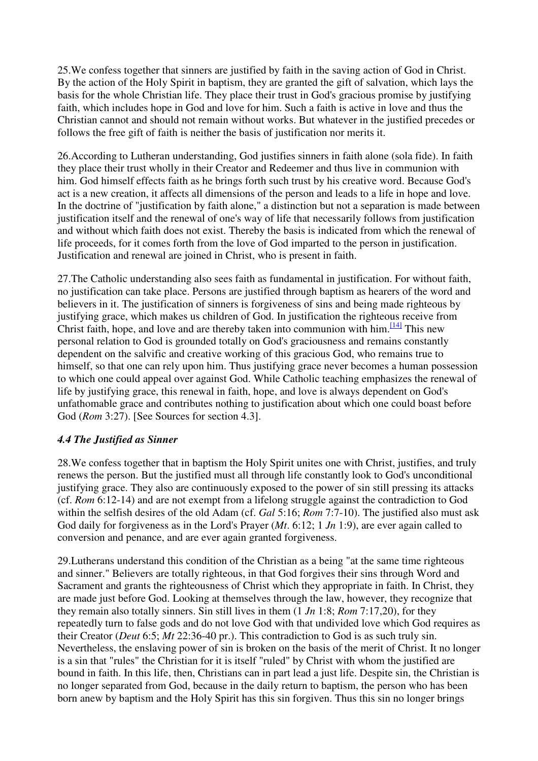25.We confess together that sinners are justified by faith in the saving action of God in Christ. By the action of the Holy Spirit in baptism, they are granted the gift of salvation, which lays the basis for the whole Christian life. They place their trust in God's gracious promise by justifying faith, which includes hope in God and love for him. Such a faith is active in love and thus the Christian cannot and should not remain without works. But whatever in the justified precedes or follows the free gift of faith is neither the basis of justification nor merits it.

26.According to Lutheran understanding, God justifies sinners in faith alone (sola fide). In faith they place their trust wholly in their Creator and Redeemer and thus live in communion with him. God himself effects faith as he brings forth such trust by his creative word. Because God's act is a new creation, it affects all dimensions of the person and leads to a life in hope and love. In the doctrine of "justification by faith alone," a distinction but not a separation is made between justification itself and the renewal of one's way of life that necessarily follows from justification and without which faith does not exist. Thereby the basis is indicated from which the renewal of life proceeds, for it comes forth from the love of God imparted to the person in justification. Justification and renewal are joined in Christ, who is present in faith.

27.The Catholic understanding also sees faith as fundamental in justification. For without faith, no justification can take place. Persons are justified through baptism as hearers of the word and believers in it. The justification of sinners is forgiveness of sins and being made righteous by justifying grace, which makes us children of God. In justification the righteous receive from Christ faith, hope, and love and are thereby taken into communion with him.  $\frac{114}{11}$  This new personal relation to God is grounded totally on God's graciousness and remains constantly dependent on the salvific and creative working of this gracious God, who remains true to himself, so that one can rely upon him. Thus justifying grace never becomes a human possession to which one could appeal over against God. While Catholic teaching emphasizes the renewal of life by justifying grace, this renewal in faith, hope, and love is always dependent on God's unfathomable grace and contributes nothing to justification about which one could boast before God (*Rom* 3:27). [See Sources for section 4.3].

#### *4.4 The Justified as Sinner*

28.We confess together that in baptism the Holy Spirit unites one with Christ, justifies, and truly renews the person. But the justified must all through life constantly look to God's unconditional justifying grace. They also are continuously exposed to the power of sin still pressing its attacks (cf. *Rom* 6:12-14) and are not exempt from a lifelong struggle against the contradiction to God within the selfish desires of the old Adam (cf. *Gal* 5:16; *Rom* 7:7-10). The justified also must ask God daily for forgiveness as in the Lord's Prayer (*Mt*. 6:12; 1 *Jn* 1:9), are ever again called to conversion and penance, and are ever again granted forgiveness.

29.Lutherans understand this condition of the Christian as a being "at the same time righteous and sinner." Believers are totally righteous, in that God forgives their sins through Word and Sacrament and grants the righteousness of Christ which they appropriate in faith. In Christ, they are made just before God. Looking at themselves through the law, however, they recognize that they remain also totally sinners. Sin still lives in them (1 *Jn* 1:8; *Rom* 7:17,20), for they repeatedly turn to false gods and do not love God with that undivided love which God requires as their Creator (*Deut* 6:5; *Mt* 22:36-40 pr.). This contradiction to God is as such truly sin. Nevertheless, the enslaving power of sin is broken on the basis of the merit of Christ. It no longer is a sin that "rules" the Christian for it is itself "ruled" by Christ with whom the justified are bound in faith. In this life, then, Christians can in part lead a just life. Despite sin, the Christian is no longer separated from God, because in the daily return to baptism, the person who has been born anew by baptism and the Holy Spirit has this sin forgiven. Thus this sin no longer brings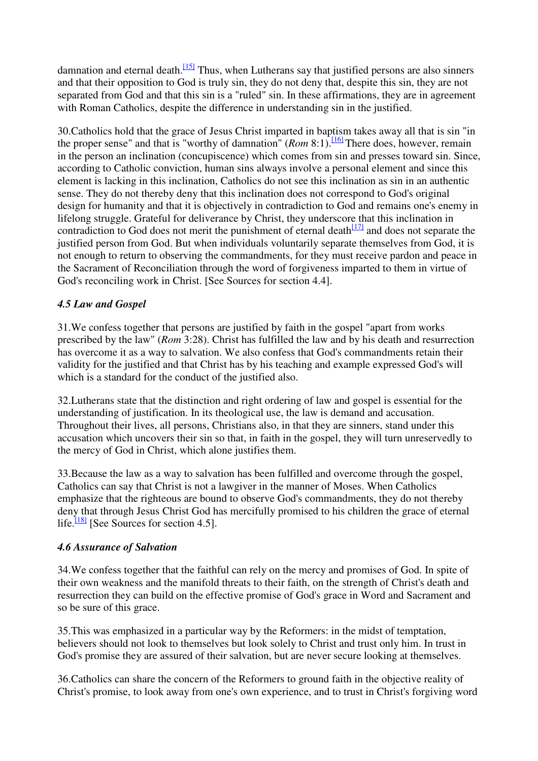damnation and eternal death. $\frac{[15]}{]}$  Thus, when Lutherans say that justified persons are also sinners and that their opposition to God is truly sin, they do not deny that, despite this sin, they are not separated from God and that this sin is a "ruled" sin. In these affirmations, they are in agreement with Roman Catholics, despite the difference in understanding sin in the justified.

30.Catholics hold that the grace of Jesus Christ imparted in baptism takes away all that is sin "in the proper sense" and that is "worthy of damnation" (*Rom* 8:1).<sup>[16]</sup> There does, however, remain in the person an inclination (concupiscence) which comes from sin and presses toward sin. Since, according to Catholic conviction, human sins always involve a personal element and since this element is lacking in this inclination, Catholics do not see this inclination as sin in an authentic sense. They do not thereby deny that this inclination does not correspond to God's original design for humanity and that it is objectively in contradiction to God and remains one's enemy in lifelong struggle. Grateful for deliverance by Christ, they underscore that this inclination in contradiction to God does not merit the punishment of eternal death $\frac{17}{7}$  and does not separate the justified person from God. But when individuals voluntarily separate themselves from God, it is not enough to return to observing the commandments, for they must receive pardon and peace in the Sacrament of Reconciliation through the word of forgiveness imparted to them in virtue of God's reconciling work in Christ. [See Sources for section 4.4].

### *4.5 Law and Gospel*

31.We confess together that persons are justified by faith in the gospel "apart from works prescribed by the law" (*Rom* 3:28). Christ has fulfilled the law and by his death and resurrection has overcome it as a way to salvation. We also confess that God's commandments retain their validity for the justified and that Christ has by his teaching and example expressed God's will which is a standard for the conduct of the justified also.

32.Lutherans state that the distinction and right ordering of law and gospel is essential for the understanding of justification. In its theological use, the law is demand and accusation. Throughout their lives, all persons, Christians also, in that they are sinners, stand under this accusation which uncovers their sin so that, in faith in the gospel, they will turn unreservedly to the mercy of God in Christ, which alone justifies them.

33.Because the law as a way to salvation has been fulfilled and overcome through the gospel, Catholics can say that Christ is not a lawgiver in the manner of Moses. When Catholics emphasize that the righteous are bound to observe God's commandments, they do not thereby deny that through Jesus Christ God has mercifully promised to his children the grace of eternal life. $\frac{18}{8}$  [See Sources for section 4.5].

#### *4.6 Assurance of Salvation*

34.We confess together that the faithful can rely on the mercy and promises of God. In spite of their own weakness and the manifold threats to their faith, on the strength of Christ's death and resurrection they can build on the effective promise of God's grace in Word and Sacrament and so be sure of this grace.

35.This was emphasized in a particular way by the Reformers: in the midst of temptation, believers should not look to themselves but look solely to Christ and trust only him. In trust in God's promise they are assured of their salvation, but are never secure looking at themselves.

36.Catholics can share the concern of the Reformers to ground faith in the objective reality of Christ's promise, to look away from one's own experience, and to trust in Christ's forgiving word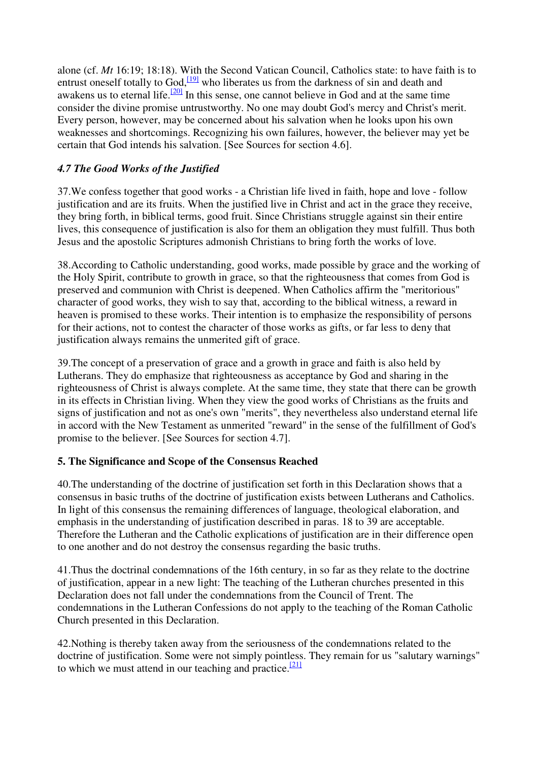alone (cf. *Mt* 16:19; 18:18). With the Second Vatican Council, Catholics state: to have faith is to entrust oneself totally to  $God$ ,  $\frac{191}{191}$  who liberates us from the darkness of sin and death and awakens us to eternal life.<sup>[20]</sup> In this sense, one cannot believe in God and at the same time consider the divine promise untrustworthy. No one may doubt God's mercy and Christ's merit. Every person, however, may be concerned about his salvation when he looks upon his own weaknesses and shortcomings. Recognizing his own failures, however, the believer may yet be certain that God intends his salvation. [See Sources for section 4.6].

### *4.7 The Good Works of the Justified*

37.We confess together that good works - a Christian life lived in faith, hope and love - follow justification and are its fruits. When the justified live in Christ and act in the grace they receive, they bring forth, in biblical terms, good fruit. Since Christians struggle against sin their entire lives, this consequence of justification is also for them an obligation they must fulfill. Thus both Jesus and the apostolic Scriptures admonish Christians to bring forth the works of love.

38.According to Catholic understanding, good works, made possible by grace and the working of the Holy Spirit, contribute to growth in grace, so that the righteousness that comes from God is preserved and communion with Christ is deepened. When Catholics affirm the "meritorious" character of good works, they wish to say that, according to the biblical witness, a reward in heaven is promised to these works. Their intention is to emphasize the responsibility of persons for their actions, not to contest the character of those works as gifts, or far less to deny that justification always remains the unmerited gift of grace.

39.The concept of a preservation of grace and a growth in grace and faith is also held by Lutherans. They do emphasize that righteousness as acceptance by God and sharing in the righteousness of Christ is always complete. At the same time, they state that there can be growth in its effects in Christian living. When they view the good works of Christians as the fruits and signs of justification and not as one's own "merits", they nevertheless also understand eternal life in accord with the New Testament as unmerited "reward" in the sense of the fulfillment of God's promise to the believer. [See Sources for section 4.7].

### **5. The Significance and Scope of the Consensus Reached**

40.The understanding of the doctrine of justification set forth in this Declaration shows that a consensus in basic truths of the doctrine of justification exists between Lutherans and Catholics. In light of this consensus the remaining differences of language, theological elaboration, and emphasis in the understanding of justification described in paras. 18 to 39 are acceptable. Therefore the Lutheran and the Catholic explications of justification are in their difference open to one another and do not destroy the consensus regarding the basic truths.

41.Thus the doctrinal condemnations of the 16th century, in so far as they relate to the doctrine of justification, appear in a new light: The teaching of the Lutheran churches presented in this Declaration does not fall under the condemnations from the Council of Trent. The condemnations in the Lutheran Confessions do not apply to the teaching of the Roman Catholic Church presented in this Declaration.

42.Nothing is thereby taken away from the seriousness of the condemnations related to the doctrine of justification. Some were not simply pointless. They remain for us "salutary warnings" to which we must attend in our teaching and practice. $\frac{[21]}{[21]}$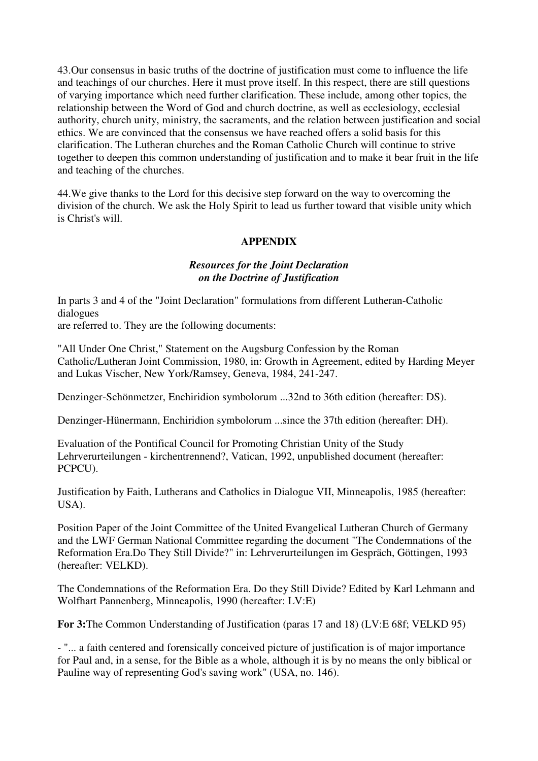43.Our consensus in basic truths of the doctrine of justification must come to influence the life and teachings of our churches. Here it must prove itself. In this respect, there are still questions of varying importance which need further clarification. These include, among other topics, the relationship between the Word of God and church doctrine, as well as ecclesiology, ecclesial authority, church unity, ministry, the sacraments, and the relation between justification and social ethics. We are convinced that the consensus we have reached offers a solid basis for this clarification. The Lutheran churches and the Roman Catholic Church will continue to strive together to deepen this common understanding of justification and to make it bear fruit in the life and teaching of the churches.

44.We give thanks to the Lord for this decisive step forward on the way to overcoming the division of the church. We ask the Holy Spirit to lead us further toward that visible unity which is Christ's will.

### **APPENDIX**

#### *Resources for the Joint Declaration on the Doctrine of Justification*

In parts 3 and 4 of the "Joint Declaration" formulations from different Lutheran-Catholic dialogues

are referred to. They are the following documents:

"All Under One Christ," Statement on the Augsburg Confession by the Roman Catholic/Lutheran Joint Commission, 1980, in: Growth in Agreement, edited by Harding Meyer and Lukas Vischer, New York/Ramsey, Geneva, 1984, 241-247.

Denzinger-Schönmetzer, Enchiridion symbolorum ...32nd to 36th edition (hereafter: DS).

Denzinger-Hünermann, Enchiridion symbolorum ...since the 37th edition (hereafter: DH).

Evaluation of the Pontifical Council for Promoting Christian Unity of the Study Lehrverurteilungen - kirchentrennend?, Vatican, 1992, unpublished document (hereafter: PCPCU).

Justification by Faith, Lutherans and Catholics in Dialogue VII, Minneapolis, 1985 (hereafter: USA).

Position Paper of the Joint Committee of the United Evangelical Lutheran Church of Germany and the LWF German National Committee regarding the document "The Condemnations of the Reformation Era.Do They Still Divide?" in: Lehrverurteilungen im Gespräch, Göttingen, 1993 (hereafter: VELKD).

The Condemnations of the Reformation Era. Do they Still Divide? Edited by Karl Lehmann and Wolfhart Pannenberg, Minneapolis, 1990 (hereafter: LV:E)

**For 3:**The Common Understanding of Justification (paras 17 and 18) (LV:E 68f; VELKD 95)

- "... a faith centered and forensically conceived picture of justification is of major importance for Paul and, in a sense, for the Bible as a whole, although it is by no means the only biblical or Pauline way of representing God's saving work" (USA, no. 146).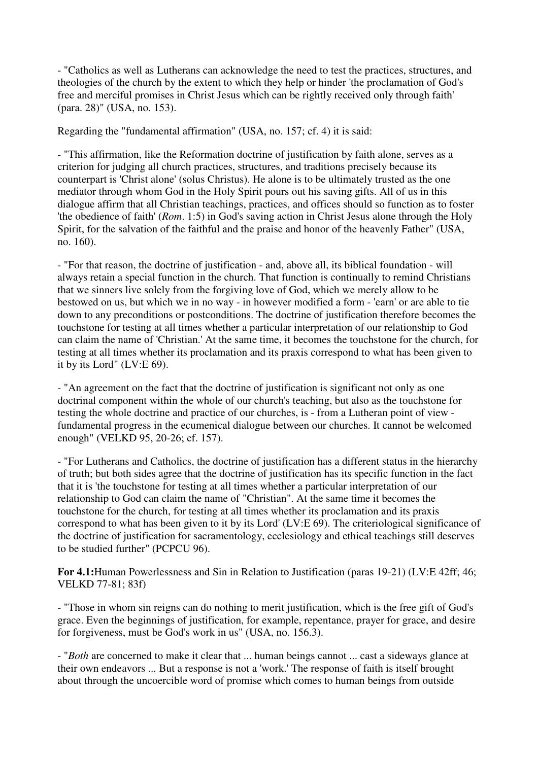- "Catholics as well as Lutherans can acknowledge the need to test the practices, structures, and theologies of the church by the extent to which they help or hinder 'the proclamation of God's free and merciful promises in Christ Jesus which can be rightly received only through faith' (para. 28)" (USA, no. 153).

Regarding the "fundamental affirmation" (USA, no. 157; cf. 4) it is said:

- "This affirmation, like the Reformation doctrine of justification by faith alone, serves as a criterion for judging all church practices, structures, and traditions precisely because its counterpart is 'Christ alone' (solus Christus). He alone is to be ultimately trusted as the one mediator through whom God in the Holy Spirit pours out his saving gifts. All of us in this dialogue affirm that all Christian teachings, practices, and offices should so function as to foster 'the obedience of faith' (*Rom*. 1:5) in God's saving action in Christ Jesus alone through the Holy Spirit, for the salvation of the faithful and the praise and honor of the heavenly Father" (USA, no. 160).

- "For that reason, the doctrine of justification - and, above all, its biblical foundation - will always retain a special function in the church. That function is continually to remind Christians that we sinners live solely from the forgiving love of God, which we merely allow to be bestowed on us, but which we in no way - in however modified a form - 'earn' or are able to tie down to any preconditions or postconditions. The doctrine of justification therefore becomes the touchstone for testing at all times whether a particular interpretation of our relationship to God can claim the name of 'Christian.' At the same time, it becomes the touchstone for the church, for testing at all times whether its proclamation and its praxis correspond to what has been given to it by its Lord" (LV:E 69).

- "An agreement on the fact that the doctrine of justification is significant not only as one doctrinal component within the whole of our church's teaching, but also as the touchstone for testing the whole doctrine and practice of our churches, is - from a Lutheran point of view fundamental progress in the ecumenical dialogue between our churches. It cannot be welcomed enough" (VELKD 95, 20-26; cf. 157).

- "For Lutherans and Catholics, the doctrine of justification has a different status in the hierarchy of truth; but both sides agree that the doctrine of justification has its specific function in the fact that it is 'the touchstone for testing at all times whether a particular interpretation of our relationship to God can claim the name of "Christian". At the same time it becomes the touchstone for the church, for testing at all times whether its proclamation and its praxis correspond to what has been given to it by its Lord' (LV:E 69). The criteriological significance of the doctrine of justification for sacramentology, ecclesiology and ethical teachings still deserves to be studied further" (PCPCU 96).

**For 4.1:**Human Powerlessness and Sin in Relation to Justification (paras 19-21) (LV:E 42ff; 46; VELKD 77-81; 83f)

- "Those in whom sin reigns can do nothing to merit justification, which is the free gift of God's grace. Even the beginnings of justification, for example, repentance, prayer for grace, and desire for forgiveness, must be God's work in us" (USA, no. 156.3).

- "*Both* are concerned to make it clear that ... human beings cannot ... cast a sideways glance at their own endeavors ... But a response is not a 'work.' The response of faith is itself brought about through the uncoercible word of promise which comes to human beings from outside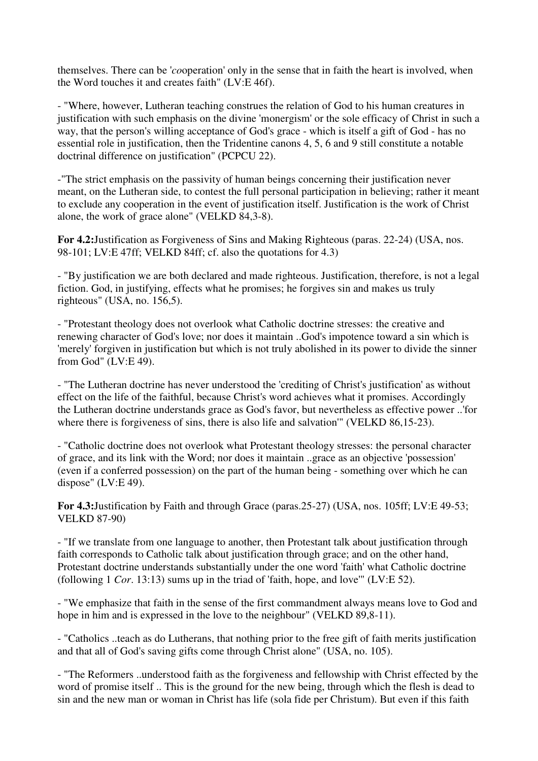themselves. There can be '*co*operation' only in the sense that in faith the heart is involved, when the Word touches it and creates faith" (LV:E 46f).

- "Where, however, Lutheran teaching construes the relation of God to his human creatures in justification with such emphasis on the divine 'monergism' or the sole efficacy of Christ in such a way, that the person's willing acceptance of God's grace - which is itself a gift of God - has no essential role in justification, then the Tridentine canons 4, 5, 6 and 9 still constitute a notable doctrinal difference on justification" (PCPCU 22).

-"The strict emphasis on the passivity of human beings concerning their justification never meant, on the Lutheran side, to contest the full personal participation in believing; rather it meant to exclude any cooperation in the event of justification itself. Justification is the work of Christ alone, the work of grace alone" (VELKD 84,3-8).

**For 4.2:**Justification as Forgiveness of Sins and Making Righteous (paras. 22-24) (USA, nos. 98-101; LV:E 47ff; VELKD 84ff; cf. also the quotations for 4.3)

- "By justification we are both declared and made righteous. Justification, therefore, is not a legal fiction. God, in justifying, effects what he promises; he forgives sin and makes us truly righteous" (USA, no. 156,5).

- "Protestant theology does not overlook what Catholic doctrine stresses: the creative and renewing character of God's love; nor does it maintain ..God's impotence toward a sin which is 'merely' forgiven in justification but which is not truly abolished in its power to divide the sinner from God" (LV:E 49).

- "The Lutheran doctrine has never understood the 'crediting of Christ's justification' as without effect on the life of the faithful, because Christ's word achieves what it promises. Accordingly the Lutheran doctrine understands grace as God's favor, but nevertheless as effective power ..'for where there is forgiveness of sins, there is also life and salvation'" (VELKD 86,15-23).

- "Catholic doctrine does not overlook what Protestant theology stresses: the personal character of grace, and its link with the Word; nor does it maintain ..grace as an objective 'possession' (even if a conferred possession) on the part of the human being - something over which he can dispose" (LV:E 49).

**For 4.3:**Justification by Faith and through Grace (paras.25-27) (USA, nos. 105ff; LV:E 49-53; VELKD 87-90)

- "If we translate from one language to another, then Protestant talk about justification through faith corresponds to Catholic talk about justification through grace; and on the other hand, Protestant doctrine understands substantially under the one word 'faith' what Catholic doctrine (following 1 *Cor*. 13:13) sums up in the triad of 'faith, hope, and love'" (LV:E 52).

- "We emphasize that faith in the sense of the first commandment always means love to God and hope in him and is expressed in the love to the neighbour" (VELKD 89,8-11).

- "Catholics ..teach as do Lutherans, that nothing prior to the free gift of faith merits justification and that all of God's saving gifts come through Christ alone" (USA, no. 105).

- "The Reformers ..understood faith as the forgiveness and fellowship with Christ effected by the word of promise itself .. This is the ground for the new being, through which the flesh is dead to sin and the new man or woman in Christ has life (sola fide per Christum). But even if this faith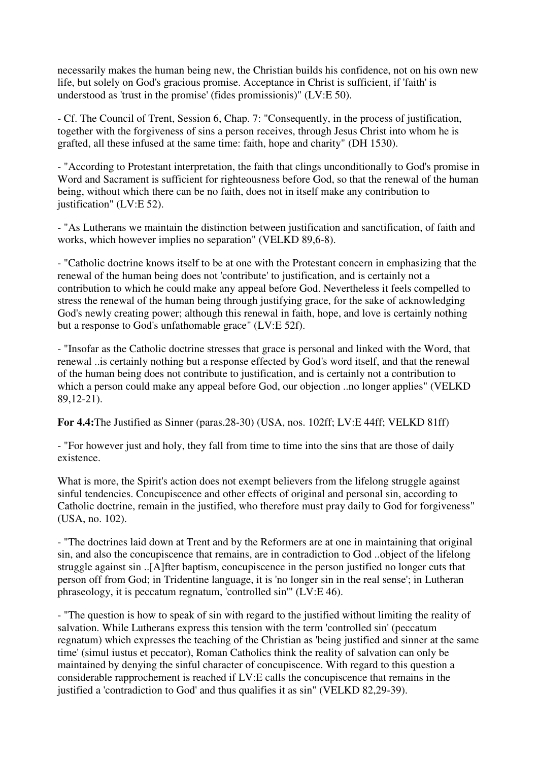necessarily makes the human being new, the Christian builds his confidence, not on his own new life, but solely on God's gracious promise. Acceptance in Christ is sufficient, if 'faith' is understood as 'trust in the promise' (fides promissionis)" (LV:E 50).

- Cf. The Council of Trent, Session 6, Chap. 7: "Consequently, in the process of justification, together with the forgiveness of sins a person receives, through Jesus Christ into whom he is grafted, all these infused at the same time: faith, hope and charity" (DH 1530).

- "According to Protestant interpretation, the faith that clings unconditionally to God's promise in Word and Sacrament is sufficient for righteousness before God, so that the renewal of the human being, without which there can be no faith, does not in itself make any contribution to justification" (LV:E 52).

- "As Lutherans we maintain the distinction between justification and sanctification, of faith and works, which however implies no separation" (VELKD 89,6-8).

- "Catholic doctrine knows itself to be at one with the Protestant concern in emphasizing that the renewal of the human being does not 'contribute' to justification, and is certainly not a contribution to which he could make any appeal before God. Nevertheless it feels compelled to stress the renewal of the human being through justifying grace, for the sake of acknowledging God's newly creating power; although this renewal in faith, hope, and love is certainly nothing but a response to God's unfathomable grace" (LV:E 52f).

- "Insofar as the Catholic doctrine stresses that grace is personal and linked with the Word, that renewal ..is certainly nothing but a response effected by God's word itself, and that the renewal of the human being does not contribute to justification, and is certainly not a contribution to which a person could make any appeal before God, our objection ..no longer applies" (VELKD) 89,12-21).

**For 4.4:**The Justified as Sinner (paras.28-30) (USA, nos. 102ff; LV:E 44ff; VELKD 81ff)

- "For however just and holy, they fall from time to time into the sins that are those of daily existence.

What is more, the Spirit's action does not exempt believers from the lifelong struggle against sinful tendencies. Concupiscence and other effects of original and personal sin, according to Catholic doctrine, remain in the justified, who therefore must pray daily to God for forgiveness" (USA, no. 102).

- "The doctrines laid down at Trent and by the Reformers are at one in maintaining that original sin, and also the concupiscence that remains, are in contradiction to God ..object of the lifelong struggle against sin ..[A]fter baptism, concupiscence in the person justified no longer cuts that person off from God; in Tridentine language, it is 'no longer sin in the real sense'; in Lutheran phraseology, it is peccatum regnatum, 'controlled sin'" (LV:E 46).

- "The question is how to speak of sin with regard to the justified without limiting the reality of salvation. While Lutherans express this tension with the term 'controlled sin' (peccatum regnatum) which expresses the teaching of the Christian as 'being justified and sinner at the same time' (simul iustus et peccator), Roman Catholics think the reality of salvation can only be maintained by denying the sinful character of concupiscence. With regard to this question a considerable rapprochement is reached if LV:E calls the concupiscence that remains in the justified a 'contradiction to God' and thus qualifies it as sin" (VELKD 82,29-39).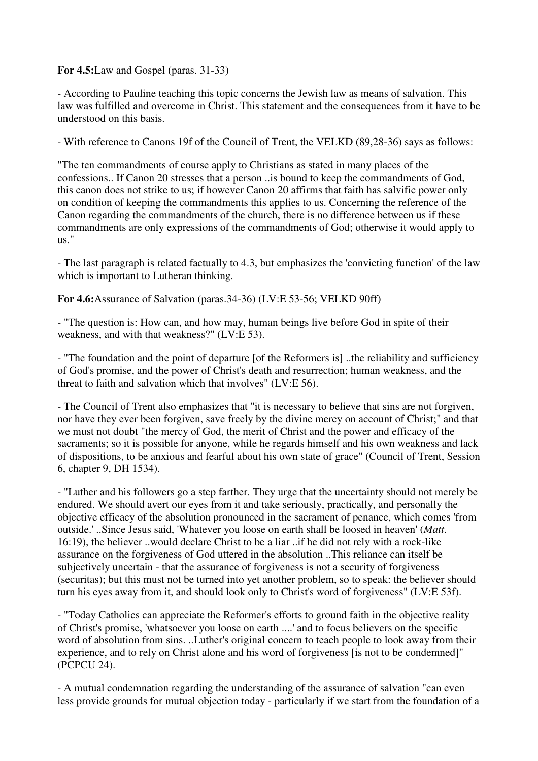#### **For 4.5:**Law and Gospel (paras. 31-33)

- According to Pauline teaching this topic concerns the Jewish law as means of salvation. This law was fulfilled and overcome in Christ. This statement and the consequences from it have to be understood on this basis.

- With reference to Canons 19f of the Council of Trent, the VELKD (89,28-36) says as follows:

"The ten commandments of course apply to Christians as stated in many places of the confessions.. If Canon 20 stresses that a person ..is bound to keep the commandments of God, this canon does not strike to us; if however Canon 20 affirms that faith has salvific power only on condition of keeping the commandments this applies to us. Concerning the reference of the Canon regarding the commandments of the church, there is no difference between us if these commandments are only expressions of the commandments of God; otherwise it would apply to us."

- The last paragraph is related factually to 4.3, but emphasizes the 'convicting function' of the law which is important to Lutheran thinking.

**For 4.6:**Assurance of Salvation (paras.34-36) (LV:E 53-56; VELKD 90ff)

- "The question is: How can, and how may, human beings live before God in spite of their weakness, and with that weakness?" (LV:E 53).

- "The foundation and the point of departure [of the Reformers is] ..the reliability and sufficiency of God's promise, and the power of Christ's death and resurrection; human weakness, and the threat to faith and salvation which that involves" (LV:E 56).

- The Council of Trent also emphasizes that "it is necessary to believe that sins are not forgiven, nor have they ever been forgiven, save freely by the divine mercy on account of Christ;" and that we must not doubt "the mercy of God, the merit of Christ and the power and efficacy of the sacraments; so it is possible for anyone, while he regards himself and his own weakness and lack of dispositions, to be anxious and fearful about his own state of grace" (Council of Trent, Session 6, chapter 9, DH 1534).

- "Luther and his followers go a step farther. They urge that the uncertainty should not merely be endured. We should avert our eyes from it and take seriously, practically, and personally the objective efficacy of the absolution pronounced in the sacrament of penance, which comes 'from outside.' ..Since Jesus said, 'Whatever you loose on earth shall be loosed in heaven' (*Matt*. 16:19), the believer ..would declare Christ to be a liar ..if he did not rely with a rock-like assurance on the forgiveness of God uttered in the absolution ..This reliance can itself be subjectively uncertain - that the assurance of forgiveness is not a security of forgiveness (securitas); but this must not be turned into yet another problem, so to speak: the believer should turn his eyes away from it, and should look only to Christ's word of forgiveness" (LV:E 53f).

- "Today Catholics can appreciate the Reformer's efforts to ground faith in the objective reality of Christ's promise, 'whatsoever you loose on earth ....' and to focus believers on the specific word of absolution from sins. ..Luther's original concern to teach people to look away from their experience, and to rely on Christ alone and his word of forgiveness [is not to be condemned]" (PCPCU 24).

- A mutual condemnation regarding the understanding of the assurance of salvation "can even less provide grounds for mutual objection today - particularly if we start from the foundation of a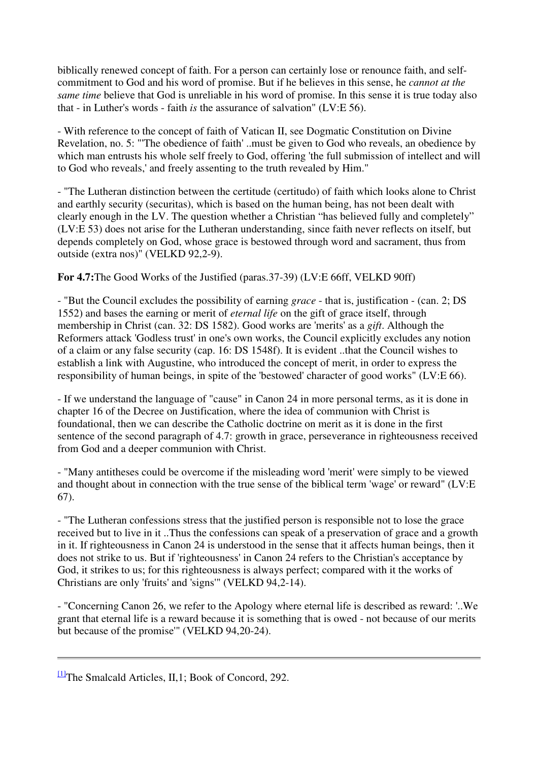biblically renewed concept of faith. For a person can certainly lose or renounce faith, and selfcommitment to God and his word of promise. But if he believes in this sense, he *cannot at the same time* believe that God is unreliable in his word of promise. In this sense it is true today also that - in Luther's words - faith *is* the assurance of salvation" (LV:E 56).

- With reference to the concept of faith of Vatican II, see Dogmatic Constitution on Divine Revelation, no. 5: "'The obedience of faith' ..must be given to God who reveals, an obedience by which man entrusts his whole self freely to God, offering 'the full submission of intellect and will to God who reveals,' and freely assenting to the truth revealed by Him."

- "The Lutheran distinction between the certitude (certitudo) of faith which looks alone to Christ and earthly security (securitas), which is based on the human being, has not been dealt with clearly enough in the LV. The question whether a Christian "has believed fully and completely" (LV:E 53) does not arise for the Lutheran understanding, since faith never reflects on itself, but depends completely on God, whose grace is bestowed through word and sacrament, thus from outside (extra nos)" (VELKD 92,2-9).

**For 4.7:**The Good Works of the Justified (paras.37-39) (LV:E 66ff, VELKD 90ff)

- "But the Council excludes the possibility of earning *grace* - that is, justification - (can. 2; DS 1552) and bases the earning or merit of *eternal life* on the gift of grace itself, through membership in Christ (can. 32: DS 1582). Good works are 'merits' as a *gift*. Although the Reformers attack 'Godless trust' in one's own works, the Council explicitly excludes any notion of a claim or any false security (cap. 16: DS 1548f). It is evident ..that the Council wishes to establish a link with Augustine, who introduced the concept of merit, in order to express the responsibility of human beings, in spite of the 'bestowed' character of good works" (LV:E 66).

- If we understand the language of "cause" in Canon 24 in more personal terms, as it is done in chapter 16 of the Decree on Justification, where the idea of communion with Christ is foundational, then we can describe the Catholic doctrine on merit as it is done in the first sentence of the second paragraph of 4.7: growth in grace, perseverance in righteousness received from God and a deeper communion with Christ.

- "Many antitheses could be overcome if the misleading word 'merit' were simply to be viewed and thought about in connection with the true sense of the biblical term 'wage' or reward" (LV:E 67).

- "The Lutheran confessions stress that the justified person is responsible not to lose the grace received but to live in it ..Thus the confessions can speak of a preservation of grace and a growth in it. If righteousness in Canon 24 is understood in the sense that it affects human beings, then it does not strike to us. But if 'righteousness' in Canon 24 refers to the Christian's acceptance by God, it strikes to us; for this righteousness is always perfect; compared with it the works of Christians are only 'fruits' and 'signs'" (VELKD 94,2-14).

- "Concerning Canon 26, we refer to the Apology where eternal life is described as reward: '..We grant that eternal life is a reward because it is something that is owed - not because of our merits but because of the promise'" (VELKD 94,20-24).

 $\Box$ The Smalcald Articles, II, 1; Book of Concord, 292.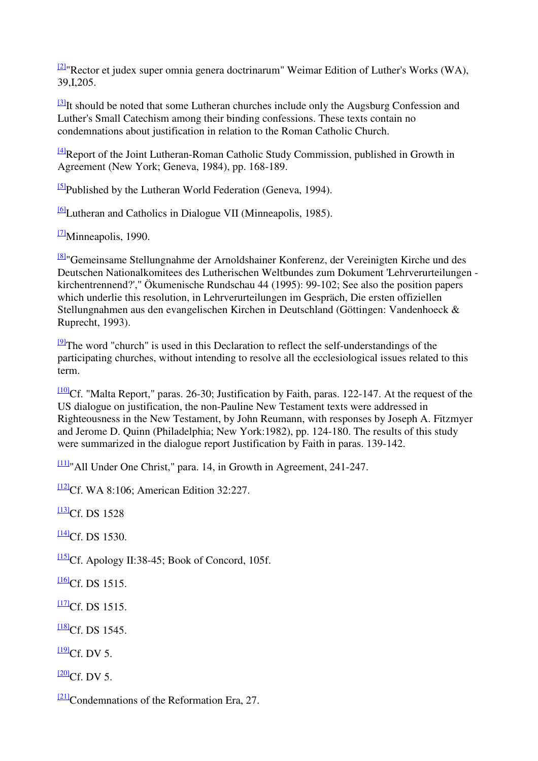$\frac{[2]}{[2]}$ "Rector et judex super omnia genera doctrinarum" Weimar Edition of Luther's Works (WA), 39,I,205.

<sup>[3]</sup>It should be noted that some Lutheran churches include only the Augsburg Confession and Luther's Small Catechism among their binding confessions. These texts contain no condemnations about justification in relation to the Roman Catholic Church.

 $\frac{[4]}{[4]}$ Report of the Joint Lutheran-Roman Catholic Study Commission, published in Growth in Agreement (New York; Geneva, 1984), pp. 168-189.

[5] Published by the Lutheran World Federation (Geneva, 1994).

**<u>[6</u>]**Lutheran and Catholics in Dialogue VII (Minneapolis, 1985).

<sup>[7]</sup>Minneapolis, 1990.

<sup>[8]</sup> Gemeinsame Stellungnahme der Arnoldshainer Konferenz, der Vereinigten Kirche und des Deutschen Nationalkomitees des Lutherischen Weltbundes zum Dokument 'Lehrverurteilungen kirchentrennend?'," Ökumenische Rundschau 44 (1995): 99-102; See also the position papers which underlie this resolution, in Lehrverurteilungen im Gespräch, Die ersten offiziellen Stellungnahmen aus den evangelischen Kirchen in Deutschland (Göttingen: Vandenhoeck & Ruprecht, 1993).

 $\frac{19}{2}$ The word "church" is used in this Declaration to reflect the self-understandings of the participating churches, without intending to resolve all the ecclesiological issues related to this term.

 $\frac{[10]}{[10]}$ Cf. "Malta Report," paras. 26-30; Justification by Faith, paras. 122-147. At the request of the US dialogue on justification, the non-Pauline New Testament texts were addressed in Righteousness in the New Testament, by John Reumann, with responses by Joseph A. Fitzmyer and Jerome D. Quinn (Philadelphia; New York:1982), pp. 124-180. The results of this study were summarized in the dialogue report Justification by Faith in paras. 139-142.

[11]"All Under One Christ," para. 14, in Growth in Agreement, 241-247.

 $\frac{122}{2}$ Cf. WA 8:106; American Edition 32:227.

 $\frac{13}{2}$ Cf. DS 1528

 $\frac{[14]}{[14]}$ Cf. DS 1530.

 $\frac{[15]}{[15]}$ Cf. Apology II:38-45; Book of Concord, 105f.

 $\frac{16}{16}$ Cf. DS 1515.

 $\frac{177}{2}$ Cf. DS 1515.

 $\frac{18}{18}$ Cf. DS 1545.

 $\frac{19}{2}$ Cf. DV 5.

 $\frac{[20]}{C}$ cf. DV 5.

 $\frac{[21]}{[21]}$ Condemnations of the Reformation Era, 27.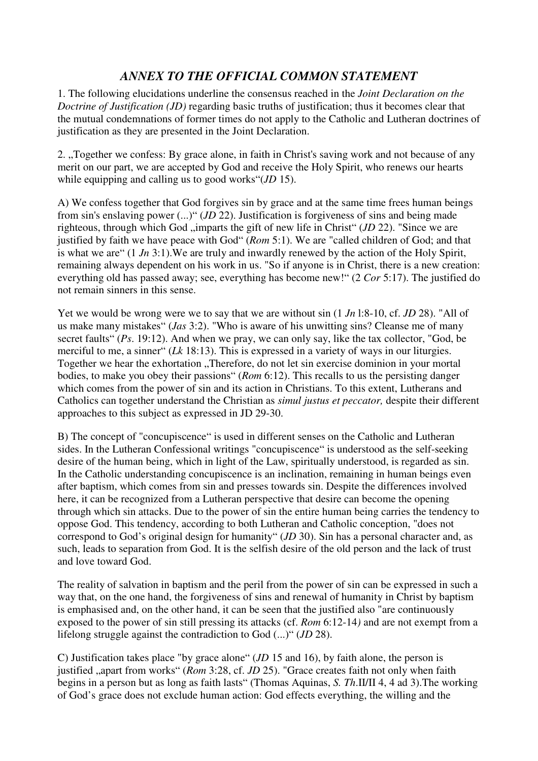# *ANNEX TO THE OFFICIAL COMMON STATEMENT*

1. The following elucidations underline the consensus reached in the *Joint Declaration on the Doctrine of Justification (JD)* regarding basic truths of justification; thus it becomes clear that the mutual condemnations of former times do not apply to the Catholic and Lutheran doctrines of justification as they are presented in the Joint Declaration.

2. "Together we confess: By grace alone, in faith in Christ's saving work and not because of any merit on our part, we are accepted by God and receive the Holy Spirit, who renews our hearts while equipping and calling us to good works"(*JD* 15).

A) We confess together that God forgives sin by grace and at the same time frees human beings from sin's enslaving power (...)" (*JD* 22). Justification is forgiveness of sins and being made righteous, through which God "imparts the gift of new life in Christ" (*JD* 22). "Since we are justified by faith we have peace with God" (*Rom* 5:1). We are "called children of God; and that is what we are" (1 *Jn* 3:1).We are truly and inwardly renewed by the action of the Holy Spirit, remaining always dependent on his work in us. "So if anyone is in Christ, there is a new creation: everything old has passed away; see, everything has become new!" (2 *Cor* 5:17). The justified do not remain sinners in this sense.

Yet we would be wrong were we to say that we are without sin (1 *Jn* l:8-10, cf. *JD* 28). "All of us make many mistakes" (*Jas* 3:2). "Who is aware of his unwitting sins? Cleanse me of many secret faults" (*Ps*. 19:12). And when we pray, we can only say, like the tax collector, "God, be merciful to me, a sinner" (*Lk* 18:13). This is expressed in a variety of ways in our liturgies. Together we hear the exhortation "Therefore, do not let sin exercise dominion in your mortal bodies, to make you obey their passions" (*Rom* 6:12). This recalls to us the persisting danger which comes from the power of sin and its action in Christians. To this extent, Lutherans and Catholics can together understand the Christian as *simul justus et peccator,* despite their different approaches to this subject as expressed in JD 29-30.

B) The concept of "concupiscence" is used in different senses on the Catholic and Lutheran sides. In the Lutheran Confessional writings "concupiscence" is understood as the self-seeking desire of the human being, which in light of the Law, spiritually understood, is regarded as sin. In the Catholic understanding concupiscence is an inclination, remaining in human beings even after baptism, which comes from sin and presses towards sin. Despite the differences involved here, it can be recognized from a Lutheran perspective that desire can become the opening through which sin attacks. Due to the power of sin the entire human being carries the tendency to oppose God. This tendency, according to both Lutheran and Catholic conception, "does not correspond to God's original design for humanity" (*JD* 30). Sin has a personal character and, as such, leads to separation from God. It is the selfish desire of the old person and the lack of trust and love toward God.

The reality of salvation in baptism and the peril from the power of sin can be expressed in such a way that, on the one hand, the forgiveness of sins and renewal of humanity in Christ by baptism is emphasised and, on the other hand, it can be seen that the justified also "are continuously exposed to the power of sin still pressing its attacks (cf. *Rom* 6:12-14*)* and are not exempt from a lifelong struggle against the contradiction to God (...)" (*JD* 28).

C) Justification takes place "by grace alone" (*JD* 15 and 16), by faith alone, the person is justified "apart from works" (*Rom* 3:28, cf. *JD* 25). "Grace creates faith not only when faith begins in a person but as long as faith lasts" (Thomas Aquinas, *S. Th*.II/II 4, 4 ad 3).The working of God's grace does not exclude human action: God effects everything, the willing and the